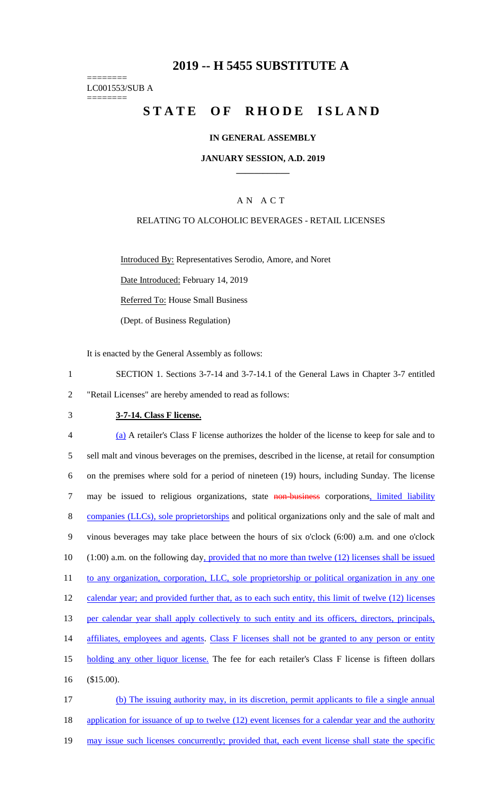## **2019 -- H 5455 SUBSTITUTE A**

======== LC001553/SUB A ========

# STATE OF RHODE ISLAND

#### **IN GENERAL ASSEMBLY**

#### **JANUARY SESSION, A.D. 2019 \_\_\_\_\_\_\_\_\_\_\_\_**

## A N A C T

#### RELATING TO ALCOHOLIC BEVERAGES - RETAIL LICENSES

Introduced By: Representatives Serodio, Amore, and Noret

Date Introduced: February 14, 2019

Referred To: House Small Business

(Dept. of Business Regulation)

It is enacted by the General Assembly as follows:

- 1 SECTION 1. Sections 3-7-14 and 3-7-14.1 of the General Laws in Chapter 3-7 entitled 2 "Retail Licenses" are hereby amended to read as follows:
- 

#### 3 **3-7-14. Class F license.**

4 (a) A retailer's Class F license authorizes the holder of the license to keep for sale and to 5 sell malt and vinous beverages on the premises, described in the license, at retail for consumption 6 on the premises where sold for a period of nineteen (19) hours, including Sunday. The license 7 may be issued to religious organizations, state non-business corporations, limited liability 8 companies (LLCs), sole proprietorships and political organizations only and the sale of malt and 9 vinous beverages may take place between the hours of six o'clock (6:00) a.m. and one o'clock 10 (1:00) a.m. on the following day, provided that no more than twelve (12) licenses shall be issued 11 to any organization, corporation, LLC, sole proprietorship or political organization in any one 12 calendar year; and provided further that, as to each such entity, this limit of twelve (12) licenses 13 per calendar year shall apply collectively to such entity and its officers, directors, principals, 14 affiliates, employees and agents. Class F licenses shall not be granted to any person or entity 15 holding any other liquor license. The fee for each retailer's Class F license is fifteen dollars 16 (\$15.00). 17 (b) The issuing authority may, in its discretion, permit applicants to file a single annual

18 application for issuance of up to twelve (12) event licenses for a calendar year and the authority 19 may issue such licenses concurrently; provided that, each event license shall state the specific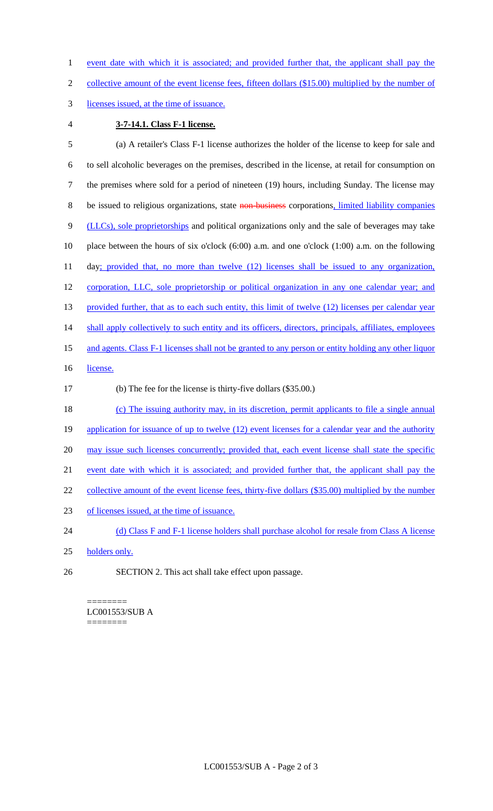1 event date with which it is associated; and provided further that, the applicant shall pay the

2 collective amount of the event license fees, fifteen dollars (\$15.00) multiplied by the number of

- 3 licenses issued, at the time of issuance.
- 

#### 4 **3-7-14.1. Class F-1 license.**

5 (a) A retailer's Class F-1 license authorizes the holder of the license to keep for sale and 6 to sell alcoholic beverages on the premises, described in the license, at retail for consumption on 7 the premises where sold for a period of nineteen (19) hours, including Sunday. The license may 8 be issued to religious organizations, state non-business corporations, limited liability companies 9 (LLCs), sole proprietorships and political organizations only and the sale of beverages may take 10 place between the hours of six o'clock (6:00) a.m. and one o'clock (1:00) a.m. on the following 11 day; provided that, no more than twelve (12) licenses shall be issued to any organization, 12 corporation, LLC, sole proprietorship or political organization in any one calendar year; and 13 provided further, that as to each such entity, this limit of twelve (12) licenses per calendar year 14 shall apply collectively to such entity and its officers, directors, principals, affiliates, employees 15 and agents. Class F-1 licenses shall not be granted to any person or entity holding any other liquor 16 license. 17 (b) The fee for the license is thirty-five dollars (\$35.00.) 18 (c) The issuing authority may, in its discretion, permit applicants to file a single annual 19 application for issuance of up to twelve (12) event licenses for a calendar year and the authority 20 may issue such licenses concurrently; provided that, each event license shall state the specific 21 event date with which it is associated; and provided further that, the applicant shall pay the 22 collective amount of the event license fees, thirty-five dollars (\$35.00) multiplied by the number 23 of licenses issued, at the time of issuance. 24 (d) Class F and F-1 license holders shall purchase alcohol for resale from Class A license 25 holders only. 26 SECTION 2. This act shall take effect upon passage.

#### ======== LC001553/SUB A ========